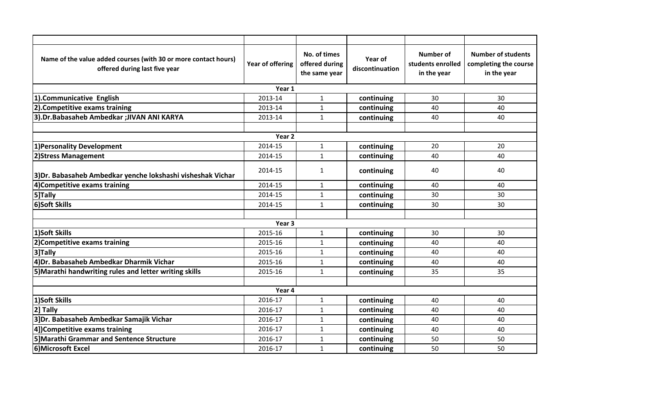| Name of the value added courses (with 30 or more contact hours)<br>offered during last five year | Year of offering | No. of times<br>offered during<br>the same year | Year of<br>discontinuation | <b>Number of</b><br>students enrolled<br>in the year | <b>Number of students</b><br>completing the course<br>in the year |  |  |  |  |
|--------------------------------------------------------------------------------------------------|------------------|-------------------------------------------------|----------------------------|------------------------------------------------------|-------------------------------------------------------------------|--|--|--|--|
| Year 1                                                                                           |                  |                                                 |                            |                                                      |                                                                   |  |  |  |  |
| 1).Communicative English                                                                         | 2013-14          | $\mathbf{1}$                                    | continuing                 | 30                                                   | 30                                                                |  |  |  |  |
| 2). Competitive exams training                                                                   | 2013-14          | $\mathbf{1}$                                    | continuing                 | 40                                                   | 40                                                                |  |  |  |  |
| 3).Dr.Babasaheb Ambedkar ;JIVAN ANI KARYA                                                        | 2013-14          | $\mathbf{1}$                                    | continuing                 | 40                                                   | 40                                                                |  |  |  |  |
|                                                                                                  |                  |                                                 |                            |                                                      |                                                                   |  |  |  |  |
| Year <sub>2</sub>                                                                                |                  |                                                 |                            |                                                      |                                                                   |  |  |  |  |
| 1) Personality Development                                                                       | 2014-15          | $\mathbf{1}$                                    | continuing                 | 20                                                   | 20                                                                |  |  |  |  |
| 2) Stress Management                                                                             | 2014-15          | $\mathbf{1}$                                    | continuing                 | 40                                                   | 40                                                                |  |  |  |  |
| 3)Dr. Babasaheb Ambedkar yenche lokshashi visheshak Vichar                                       | 2014-15          | $\mathbf{1}$                                    | continuing                 | 40                                                   | 40                                                                |  |  |  |  |
| 4) Competitive exams training                                                                    | 2014-15          | $\mathbf{1}$                                    | continuing                 | 40                                                   | 40                                                                |  |  |  |  |
| 5]Tally                                                                                          | 2014-15          | $\mathbf{1}$                                    | continuing                 | 30                                                   | 30                                                                |  |  |  |  |
| 6)Soft Skills                                                                                    | 2014-15          | $\mathbf{1}$                                    | continuing                 | 30                                                   | 30                                                                |  |  |  |  |
|                                                                                                  |                  |                                                 |                            |                                                      |                                                                   |  |  |  |  |
| Year <sub>3</sub>                                                                                |                  |                                                 |                            |                                                      |                                                                   |  |  |  |  |
| 1)Soft Skills                                                                                    | 2015-16          | $\mathbf{1}$                                    | continuing                 | 30                                                   | 30                                                                |  |  |  |  |
| 2)Competitive exams training                                                                     | 2015-16          | $\mathbf{1}$                                    | continuing                 | 40                                                   | 40                                                                |  |  |  |  |
| 3]Tally                                                                                          | 2015-16          | $\mathbf{1}$                                    | continuing                 | 40                                                   | 40                                                                |  |  |  |  |
| 4) Dr. Babasaheb Ambedkar Dharmik Vichar                                                         | 2015-16          | $\mathbf{1}$                                    | continuing                 | 40                                                   | 40                                                                |  |  |  |  |
| 5) Marathi handwriting rules and letter writing skills                                           | 2015-16          | $\mathbf{1}$                                    | continuing                 | 35                                                   | 35                                                                |  |  |  |  |
|                                                                                                  |                  |                                                 |                            |                                                      |                                                                   |  |  |  |  |
| Year 4                                                                                           |                  |                                                 |                            |                                                      |                                                                   |  |  |  |  |
| 1)Soft Skills                                                                                    | 2016-17          | $\mathbf{1}$                                    | continuing                 | 40                                                   | 40                                                                |  |  |  |  |
| 2] Tally                                                                                         | 2016-17          | $\mathbf{1}$                                    | continuing                 | 40                                                   | 40                                                                |  |  |  |  |
| 3]Dr. Babasaheb Ambedkar Samajik Vichar                                                          | 2016-17          | $\mathbf{1}$                                    | continuing                 | 40                                                   | 40                                                                |  |  |  |  |
| 4])Competitive exams training                                                                    | 2016-17          | $\mathbf{1}$                                    | continuing                 | 40                                                   | 40                                                                |  |  |  |  |
| 5] Marathi Grammar and Sentence Structure                                                        | 2016-17          | $\mathbf{1}$                                    | continuing                 | 50                                                   | 50                                                                |  |  |  |  |
| 6)Microsoft Excel                                                                                | 2016-17          | $\mathbf{1}$                                    | continuing                 | 50                                                   | 50                                                                |  |  |  |  |